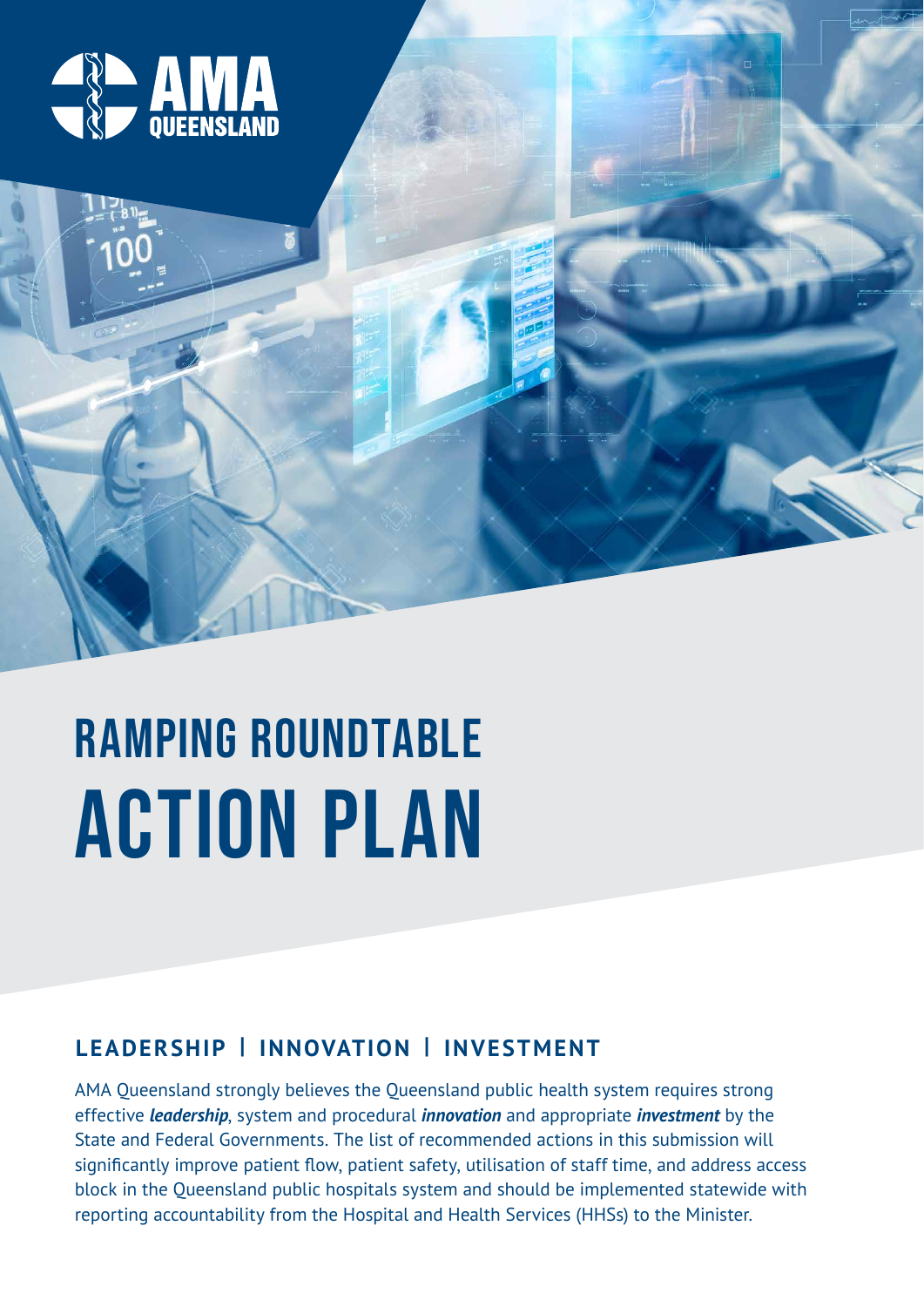

# ACTION PLAN RAMPING ROUNDTABLE

## **LEADERSHIP | INNOVATION | INVESTMENT**

AMA Queensland strongly believes the Queensland public health system requires strong effective *leadership*, system and procedural *innovation* and appropriate *investment* by the State and Federal Governments. The list of recommended actions in this submission will significantly improve patient flow, patient safety, utilisation of staff time, and address access block in the Queensland public hospitals system and should be implemented statewide with reporting accountability from the Hospital and Health Services (HHSs) to the Minister.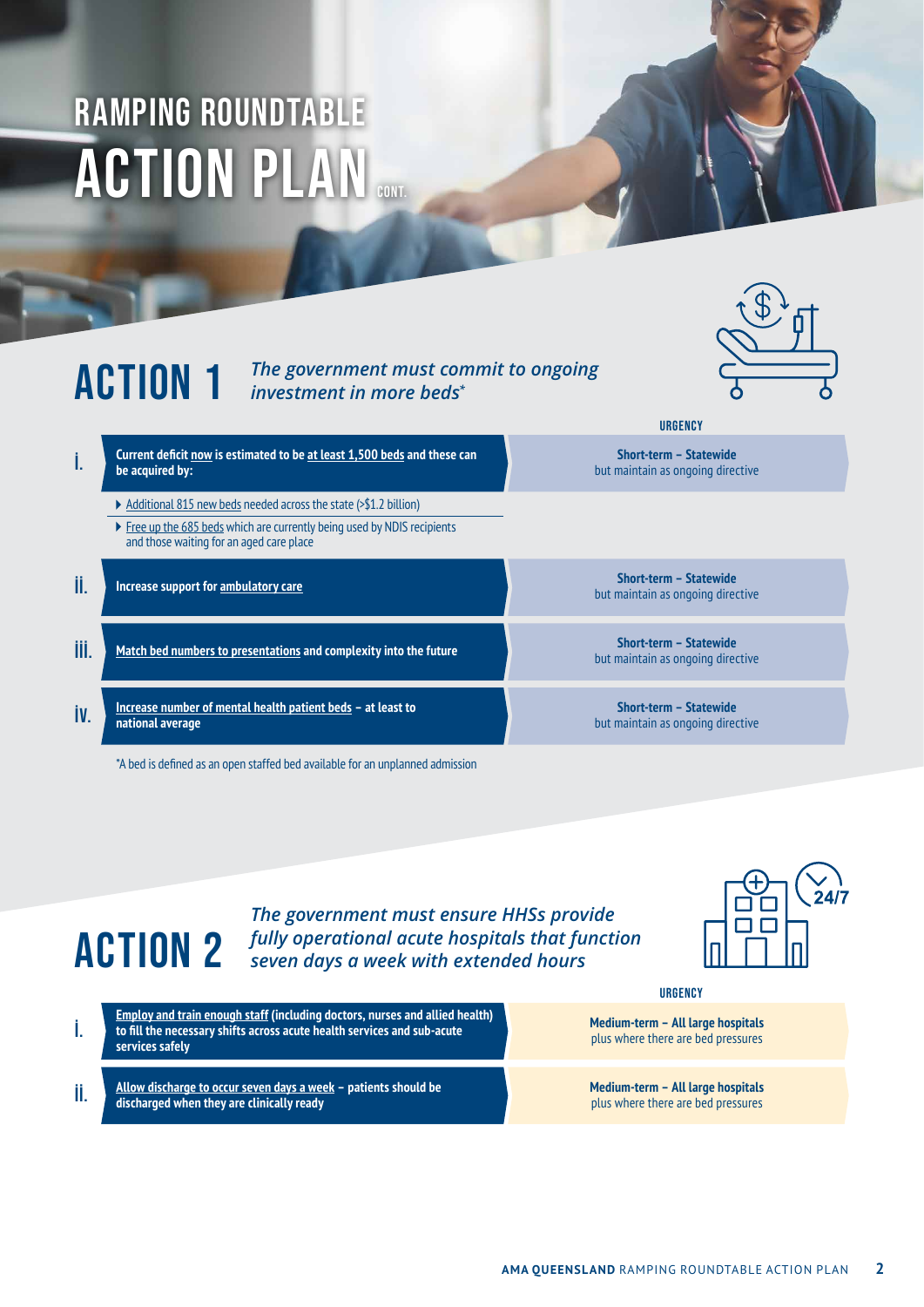## **ACTION PLAN** RAMPING ROUNDTABLE

### ACTION 1 *The government must commit to ongoing investment in more beds\**



- i. **Current deficit now is estimated to be at least 1,500 beds and these can be acquired by:** 
	- Additional 815 new beds needed across the state (>\$1.2 billion)
	- ▶ Free up the 685 beds which are currently being used by NDIS recipients and those waiting for an aged care place
- ii. **Increase support for ambulatory care Short-term Statewide**
- **iii. Match bed numbers to presentations** and complexity into the future **and the set of the set of the set of the future** *Match bed numbers to presentations* and complexity into the future
- iv. **Increase number of mental health patient beds at least to national average**

\*A bed is defined as an open staffed bed available for an unplanned admission

but maintain as ongoing directive

**URGENCY** 

**Short-term – Statewide** but maintain as ongoing directive

but maintain as ongoing directive

**Short-term – Statewide** but maintain as ongoing directive

## ACTION 2 *fully operational acute hospitals that function The government must ensure HHSs provide seven days a week with extended hours*



**services safely** 

### **URGENCY**

**Medium-term – All large hospitals** plus where there are bed pressures

ii. **Allow discharge to occur seven days a week – patients should be discharged when they are clinically ready** 

i. **Employ and train enough staff (including doctors, nurses and allied health) to fill the necessary shifts across acute health services and sub-acute** 

**Medium-term – All large hospitals** plus where there are bed pressures

**AMA QUEENSLAND** RAMPING ROUNDTABLE ACTION PLAN **2**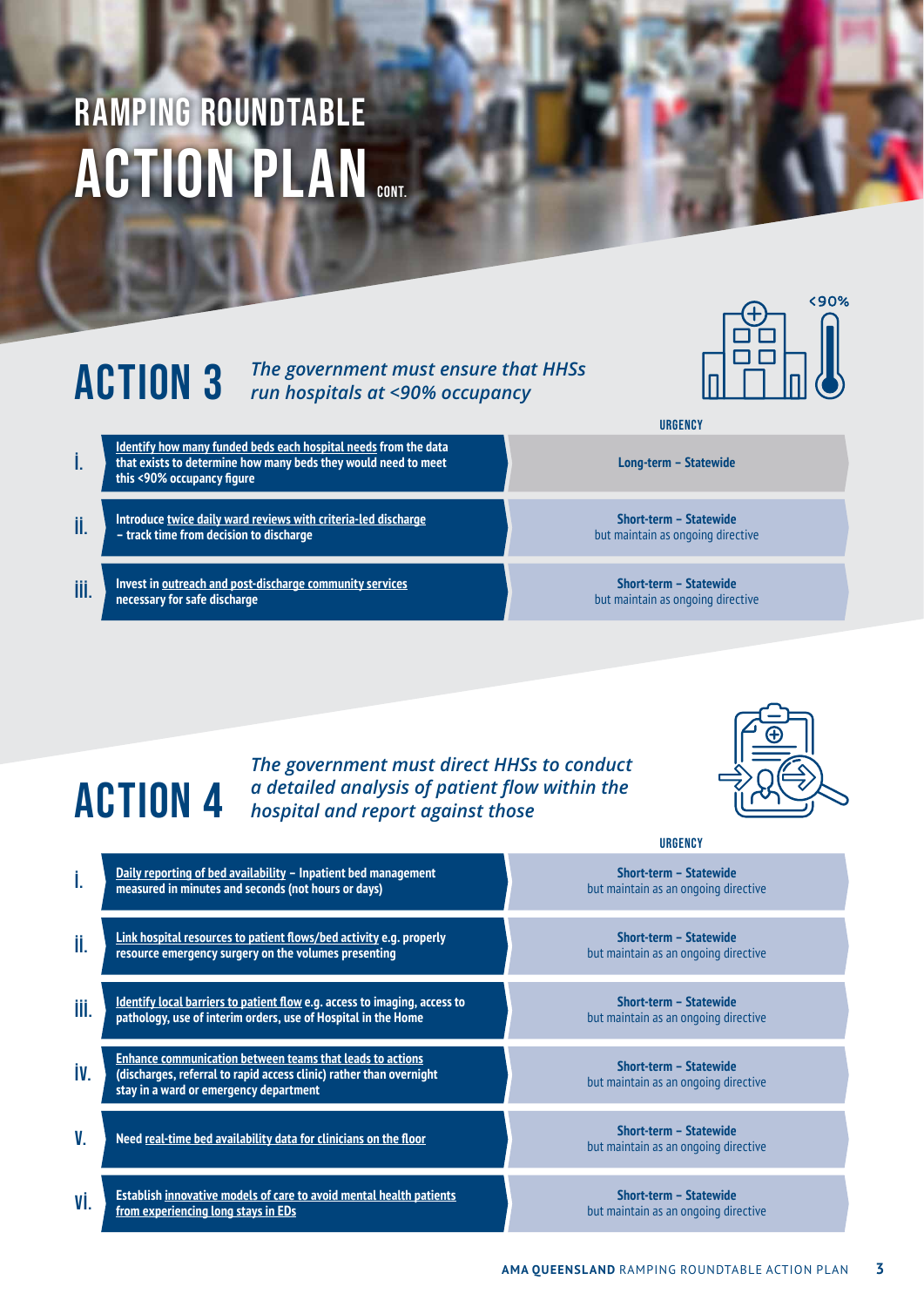## **ACTION PLAN** RAMPING ROUNDTABLE

### **ACTION 3** *The government must ensure that HHSs run hospitals at <90% occupancy run hospitals at <90% occupancy*

**URGENCY** i. **Identify how many funded beds each hospital needs from the data that exists to determine how many beds they would need to meet this <90% occupancy figure Long-term – Statewide** ii. **Introduce twice daily ward reviews with criteria-led discharge – track time from decision to discharge Short-term – Statewide**  but maintain as ongoing directive **III.** Invest in outreach and post-discharge community services **necessary for safe discharge Short-term – Statewide**  but maintain as ongoing directive

## *The government must direct HHSs to conduct a detailed analysis of patient flow within the hospital and report against those*



<90%

|      |                                                                                                                                                                            | <b>URGENCY</b>                                                 |
|------|----------------------------------------------------------------------------------------------------------------------------------------------------------------------------|----------------------------------------------------------------|
| İ.   | Daily reporting of bed availability - Inpatient bed management<br>measured in minutes and seconds (not hours or days)                                                      | Short-term - Statewide<br>but maintain as an ongoing directive |
| ii.  | Link hospital resources to patient flows/bed activity e.g. properly<br>resource emergency surgery on the volumes presenting                                                | Short-term - Statewide<br>but maintain as an ongoing directive |
| iii. | <b>Identify local barriers to patient flow e.g. access to imaging, access to</b><br>pathology, use of interim orders, use of Hospital in the Home                          | Short-term - Statewide<br>but maintain as an ongoing directive |
| İV.  | Enhance communication between teams that leads to actions<br>(discharges, referral to rapid access clinic) rather than overnight<br>stay in a ward or emergency department | Short-term - Statewide<br>but maintain as an ongoing directive |
| V.   | Need real-time bed availability data for clinicians on the floor                                                                                                           | Short-term - Statewide<br>but maintain as an ongoing directive |
| Vİ.  | Establish innovative models of care to avoid mental health patients<br>from experiencing long stays in EDs                                                                 | Short-term - Statewide<br>but maintain as an ongoing directive |

ACTION 4